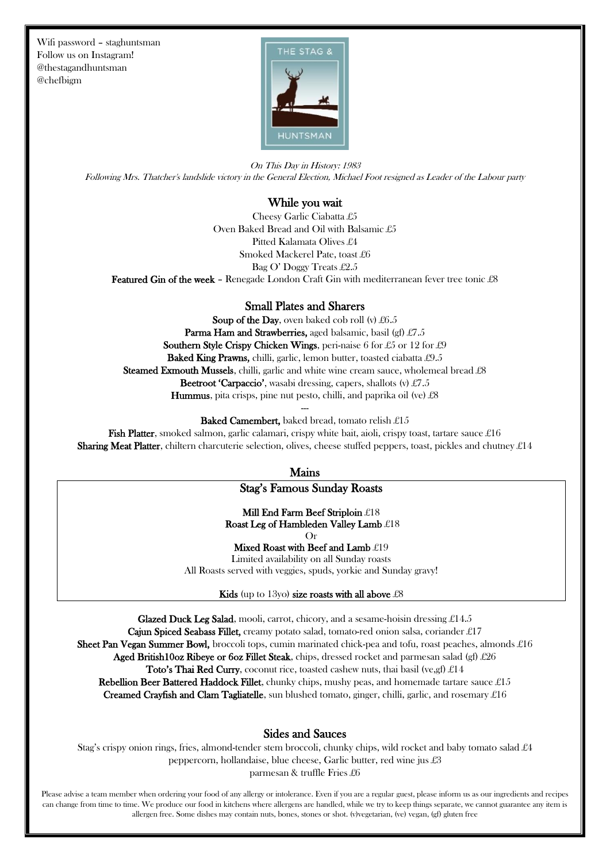Wifi password – staghuntsman Follow us on Instagram! @thestagandhuntsman @chefbigm



On This Day in History: 1983 Following Mrs. Thatcher's landslide victory in the General Election, Michael Foot resigned as Leader of the Labour party

#### While you wait

Cheesy Garlic Ciabatta £5 Oven Baked Bread and Oil with Balsamic £5 Pitted Kalamata Olives £4 Smoked Mackerel Pate, toast £6 Bag O' Doggy Treats £2.5 Featured Gin of the week - Renegade London Craft Gin with mediterranean fever tree tonic £8

#### Small Plates and Sharers

Soup of the Day, oven baked cob roll (v)  $£6.5$ Parma Ham and Strawberries, aged balsamic, basil (gf) £7.5 Southern Style Crispy Chicken Wings, peri-naise 6 for £5 or 12 for £9 Baked King Prawns, chilli, garlic, lemon butter, toasted ciabatta £9.5 Steamed Exmouth Mussels, chilli, garlic and white wine cream sauce, wholemeal bread £8 Beetroot 'Carpaccio', wasabi dressing, capers, shallots (v) £7.5 Hummus, pita crisps, pine nut pesto, chilli, and paprika oil (ve) £8

> --- Baked Camembert, baked bread, tomato relish £15

**Fish Platter,** smoked salmon, garlic calamari, crispy white bait, aioli, crispy toast, tartare sauce £16 **Sharing Meat Platter**, chiltern charcuterie selection, olives, cheese stuffed peppers, toast, pickles and chutney  $\pounds 14$ 

Mains

## Stag's Famous Sunday Roasts

Mill End Farm Beef Striploin £18 Roast Leg of Hambleden Valley Lamb £18 Or

Mixed Roast with Beef and Lamb £19 Limited availability on all Sunday roasts

All Roasts served with veggies, spuds, yorkie and Sunday gravy!

Kids (up to 13yo) size roasts with all above  $£8$ 

**Glazed Duck Leg Salad,** mooli, carrot, chicory, and a sesame-hoisin dressing  $\pounds 14.5$ Cajun Spiced Seabass Fillet, creamy potato salad, tomato-red onion salsa, coriander £17 **Sheet Pan Vegan Summer Bowl,** broccoli tops, cumin marinated chick-pea and tofu, roast peaches, almonds  $\pounds 16$ **Aged British10oz Ribeye or 6oz Fillet Steak**, chips, dressed rocket and parmesan salad (gf)  $\pounds 26$ **Toto's Thai Red Curry,** coconut rice, toasted cashew nuts, thai basil (ve,gf)  $\pounds 14$ Rebellion Beer Battered Haddock Fillet, chunky chips, mushy peas, and homemade tartare sauce  $\pounds 15$ **Creamed Crayfish and Clam Tagliatelle**, sun blushed tomato, ginger, chilli, garlic, and rosemary  $\pounds 16$ 

#### Sides and Sauces

Stag's crispy onion rings, fries, almond-tender stem broccoli, chunky chips, wild rocket and baby tomato salad £4 peppercorn, hollandaise, blue cheese, Garlic butter, red wine jus £3 parmesan & truffle Fries £6

Please advise a team member when ordering your food of any allergy or intolerance. Even if you are a regular guest, please inform us as our ingredients and recipes can change from time to time. We produce our food in kitchens where allergens are handled, while we try to keep things separate, we cannot guarantee any item is allergen free. Some dishes may contain nuts, bones, stones or shot. (v)vegetarian, (ve) vegan, (gf) gluten free